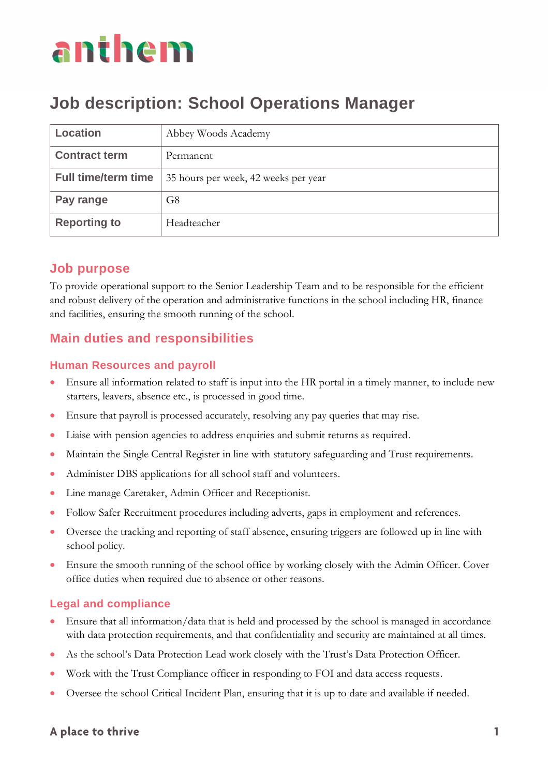### **Job description: School Operations Manager**

| <b>Location</b>            | Abbey Woods Academy                  |
|----------------------------|--------------------------------------|
| <b>Contract term</b>       | Permanent                            |
| <b>Full time/term time</b> | 35 hours per week, 42 weeks per year |
| Pay range                  | G <sub>8</sub>                       |
| <b>Reporting to</b>        | Headteacher                          |

### **Job purpose**

To provide operational support to the Senior Leadership Team and to be responsible for the efficient and robust delivery of the operation and administrative functions in the school including HR, finance and facilities, ensuring the smooth running of the school.

### **Main duties and responsibilities**

#### **Human Resources and payroll**

- Ensure all information related to staff is input into the HR portal in a timely manner, to include new starters, leavers, absence etc., is processed in good time.
- Ensure that payroll is processed accurately, resolving any pay queries that may rise.
- Liaise with pension agencies to address enquiries and submit returns as required.
- Maintain the Single Central Register in line with statutory safeguarding and Trust requirements.
- Administer DBS applications for all school staff and volunteers.
- Line manage Caretaker, Admin Officer and Receptionist.
- Follow Safer Recruitment procedures including adverts, gaps in employment and references.
- Oversee the tracking and reporting of staff absence, ensuring triggers are followed up in line with school policy.
- Ensure the smooth running of the school office by working closely with the Admin Officer. Cover office duties when required due to absence or other reasons.

#### **Legal and compliance**

- Ensure that all information/data that is held and processed by the school is managed in accordance with data protection requirements, and that confidentiality and security are maintained at all times.
- As the school's Data Protection Lead work closely with the Trust's Data Protection Officer.
- Work with the Trust Compliance officer in responding to FOI and data access requests.
- Oversee the school Critical Incident Plan, ensuring that it is up to date and available if needed.

#### A place to thrive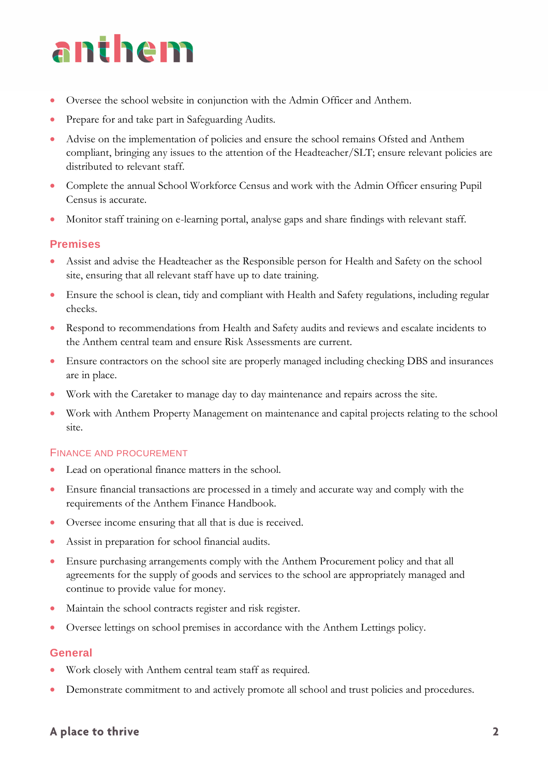- Oversee the school website in conjunction with the Admin Officer and Anthem.
- Prepare for and take part in Safeguarding Audits.
- Advise on the implementation of policies and ensure the school remains Ofsted and Anthem compliant, bringing any issues to the attention of the Headteacher/SLT; ensure relevant policies are distributed to relevant staff.
- Complete the annual School Workforce Census and work with the Admin Officer ensuring Pupil Census is accurate.
- Monitor staff training on e-learning portal, analyse gaps and share findings with relevant staff.

#### **Premises**

- Assist and advise the Headteacher as the Responsible person for Health and Safety on the school site, ensuring that all relevant staff have up to date training.
- Ensure the school is clean, tidy and compliant with Health and Safety regulations, including regular checks.
- Respond to recommendations from Health and Safety audits and reviews and escalate incidents to the Anthem central team and ensure Risk Assessments are current.
- Ensure contractors on the school site are properly managed including checking DBS and insurances are in place.
- Work with the Caretaker to manage day to day maintenance and repairs across the site.
- Work with Anthem Property Management on maintenance and capital projects relating to the school site.

#### FINANCE AND PROCUREMENT

- Lead on operational finance matters in the school.
- Ensure financial transactions are processed in a timely and accurate way and comply with the requirements of the Anthem Finance Handbook.
- Oversee income ensuring that all that is due is received.
- Assist in preparation for school financial audits.
- Ensure purchasing arrangements comply with the Anthem Procurement policy and that all agreements for the supply of goods and services to the school are appropriately managed and continue to provide value for money.
- Maintain the school contracts register and risk register.
- Oversee lettings on school premises in accordance with the Anthem Lettings policy.

#### **General**

- Work closely with Anthem central team staff as required.
- Demonstrate commitment to and actively promote all school and trust policies and procedures.

#### A place to thrive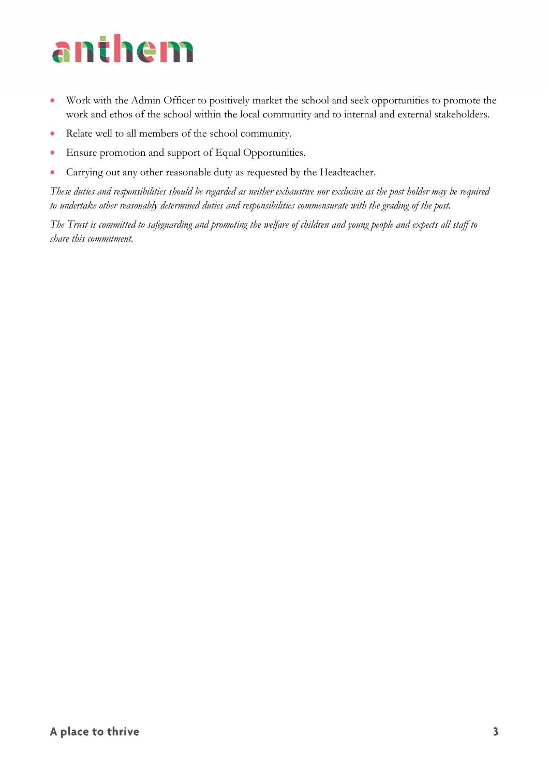- Work with the Admin Officer to positively market the school and seek opportunities to promote the work and ethos of the school within the local community and to internal and external stakeholders.
- Relate well to all members of the school community.
- Ensure promotion and support of Equal Opportunities.
- Carrying out any other reasonable duty as requested by the Headteacher.

*These duties and responsibilities should be regarded as neither exhaustive nor exclusive as the post holder may be required to undertake other reasonably determined duties and responsibilities commensurate with the grading of the post.* 

*The Trust is committed to safeguarding and promoting the welfare of children and young people and expects all staff to share this commitment.*